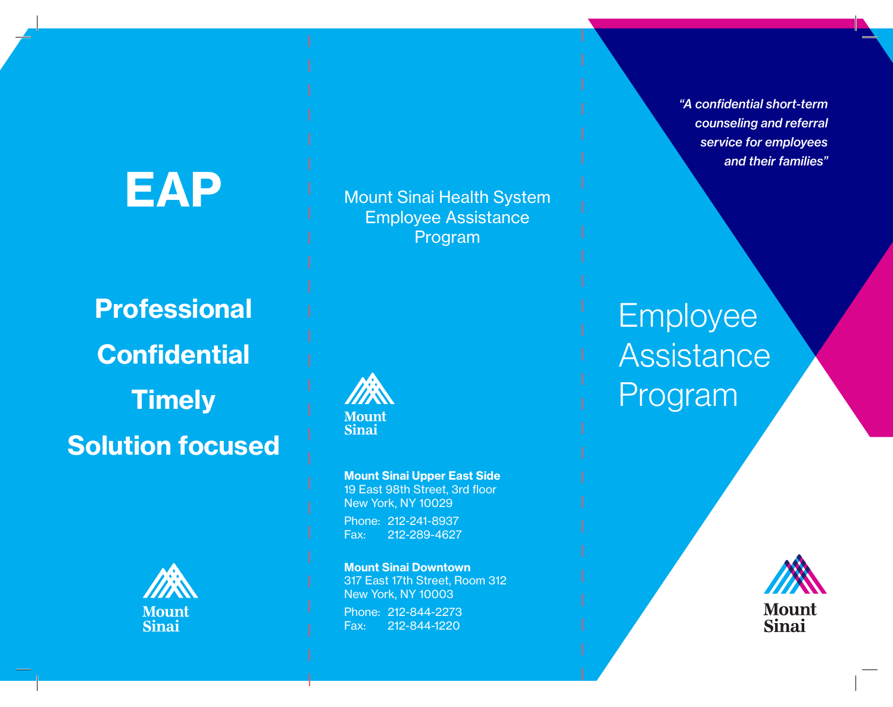# EAP

Mount Sinai Health System Employee Assistance Program

**Professional Confidential Timely** Solution focused





Mount Sinai Upper East Side 19 East 98th Street, 3rd floor New York, NY 10029 Phone: 212-241-8937

Fax: 212-289-4627

Mount Sinai Downtown 317 East 17th Street, Room 312 New York, NY 10003 Phone: 212-844-2273 Fax: 212-844-1220

*"A confidential short-term counseling and referral service for employees and their families"*

Employee Assistance Program